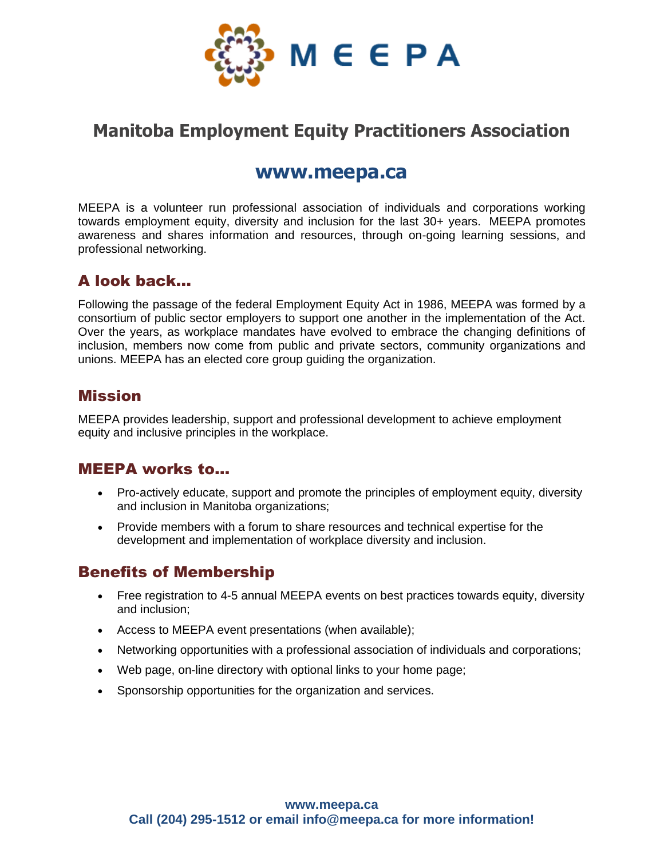

# **Manitoba Employment Equity Practitioners Association**

## **www.meepa.ca**

MEEPA is a volunteer run professional association of individuals and corporations working towards employment equity, diversity and inclusion for the last 30+ years. MEEPA promotes awareness and shares information and resources, through on-going learning sessions, and professional networking.

### A look back…

Following the passage of the federal Employment Equity Act in 1986, MEEPA was formed by a consortium of public sector employers to support one another in the implementation of the Act. Over the years, as workplace mandates have evolved to embrace the changing definitions of inclusion, members now come from public and private sectors, community organizations and unions. MEEPA has an elected core group guiding the organization.

#### Mission

MEEPA provides leadership, support and professional development to achieve employment equity and inclusive principles in the workplace.

#### MEEPA works to...

- Pro-actively educate, support and promote the principles of employment equity, diversity and inclusion in Manitoba organizations;
- Provide members with a forum to share resources and technical expertise for the development and implementation of workplace diversity and inclusion.

#### Benefits of Membership

- Free registration to 4-5 annual MEEPA events on best practices towards equity, diversity and inclusion;
- Access to MEEPA event presentations (when available);
- Networking opportunities with a professional association of individuals and corporations;
- Web page, on-line directory with optional links to your home page;
- Sponsorship opportunities for the organization and services.